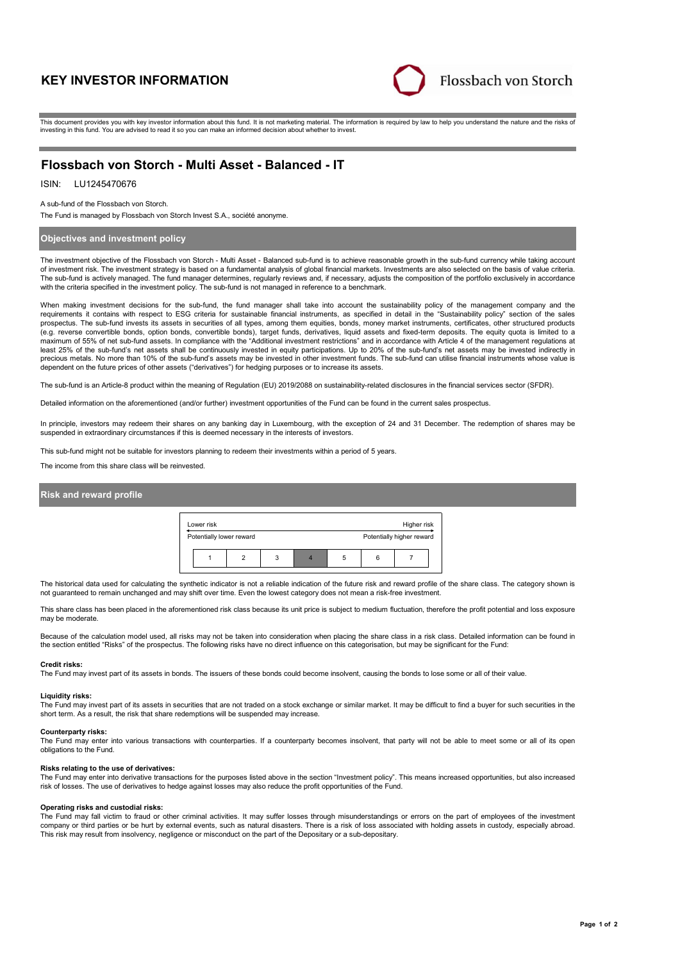# **KEY INVESTOR INFORMATION**



This document provides you with key investor information about this fund. It is not marketing material. The information is required by law to help you understand the nature and the risks of investing in this fund. You are advised to read it so you can make an informed decision about whether to invest.

# **Flossbach von Storch - Multi Asset - Balanced - IT**

## ISIN: LU1245470676

A sub-fund of the Flossbach von Storch.

The Fund is managed by Flossbach von Storch Invest S.A., société anonyme.

## **Objectives and investment policy**

The investment objective of the Flossbach von Storch - Multi Asset - Balanced sub-fund is to achieve reasonable growth in the sub-fund currency while taking account of investment risk. The investment strategy is based on a fundamental analysis of global financial markets. Investments are also selected on the basis of value criteria. The sub-fund is actively managed. The fund manager determines, regularly reviews and, if necessary, adjusts the composition of the portfolio exclusively in accordance with the criteria specified in the investment policy. The sub-fund is not managed in reference to a benchmark.

When making investment decisions for the sub-fund, the fund manager shall take into account the sustainability policy of the management company and the requirements it contains with respect to ESG criteria for sustainable financial instruments, as specified in detail in the "Sustainability policy" section of the sales prospectus. The sub-fund invests its assets in securities of all types, among them equities, bonds, money market instruments, certificates, other structured products (e.g. reverse convertible bonds, option bonds, convertible bonds), target funds, derivatives, liquid assets and fixed-term deposits. The equity quota is limited to a maximum of 55% of net sub-fund assets. In compliance with the "Additional investment restrictions" and in accordance with Article 4 of the management requisitions at the "Additional investment restrictions" and in accordan least 25% of the sub-fund's net assets shall be continuously invested in equity participations. Up to 20% of the sub-fund's net assets may be invested indirectly in precious metals. No more than 10% of the sub-fund's assets may be invested in other investment funds. The sub-fund can utilise financial instruments whose value is dependent on the future prices of other assets ("derivatives") for hedging purposes or to increase its assets.

The sub-fund is an Article-8 product within the meaning of Regulation (EU) 2019/2088 on sustainability-related disclosures in the financial services sector (SFDR).

Detailed information on the aforementioned (and/or further) investment opportunities of the Fund can be found in the current sales prospectus.

In principle, investors may redeem their shares on any banking day in Luxembourg, with the exception of 24 and 31 December. The redemption of shares may be suspended in extraordinary circumstances if this is deemed necessary in the interests of investors.

This sub-fund might not be suitable for investors planning to redeem their investments within a period of 5 years.

The income from this share class will be reinvested.

## **Risk and reward profile**



The historical data used for calculating the synthetic indicator is not a reliable indication of the future risk and reward profile of the share class. The category shown is not guaranteed to remain unchanged and may shift over time. Even the lowest category does not mean a risk-free investment.

This share class has been placed in the aforementioned risk class because its unit price is subject to medium fluctuation, therefore the profit potential and loss exposure may be moderate

Because of the calculation model used, all risks may not be taken into consideration when placing the share class in a risk class. Detailed information can be found in the section entitled "Risks" of the prospectus. The following risks have no direct influence on this categorisation, but may be significant for the Fund:

#### **Credit risks:**

The Fund may invest part of its assets in bonds. The issuers of these bonds could become insolvent, causing the bonds to lose some or all of their value.

#### **Liquidity risks:**

The Fund may invest part of its assets in securities that are not traded on a stock exchange or similar market. It may be difficult to find a buyer for such securities in the short term. As a result, the risk that share redemptions will be suspended may increase.

#### **Counterparty risks:**

The Fund may enter into various transactions with counterparties. If a counterparty becomes insolvent, that party will not be able to meet some or all of its open obligations to the Fund.

#### **Risks relating to the use of derivatives:**

The Fund may enter into derivative transactions for the purposes listed above in the section "Investment policy". This means increased opportunities, but also increased risk of losses. The use of derivatives to hedge against losses may also reduce the profit opportunities of the Fund.

## **Operating risks and custodial risks:**

The Fund may fall victim to fraud or other criminal activities. It may suffer losses through misunderstandings or errors on the part of employees of the investment company or third parties or be hurt by external events, such as natural disasters. There is a risk of loss associated with holding assets in custody, especially abroad. This risk may result from insolvency, negligence or misconduct on the part of the Depositary or a sub-depositary.